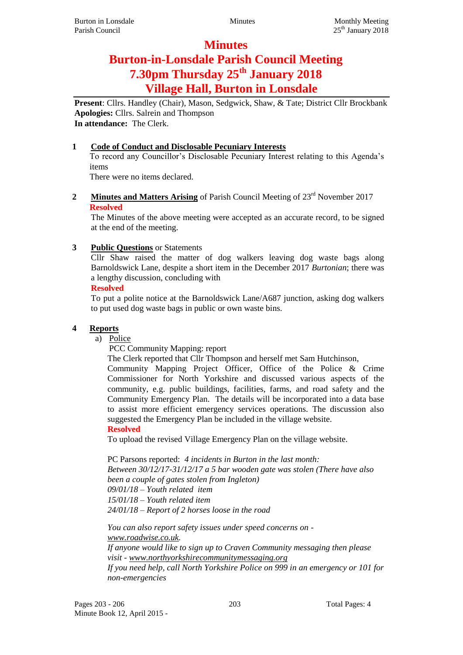# **Minutes**

# **Burton-in-Lonsdale Parish Council Meeting 7.30pm Thursday 25th January 2018 Village Hall, Burton in Lonsdale**

**Present**: Cllrs. Handley (Chair), Mason, Sedgwick, Shaw, & Tate; District Cllr Brockbank **Apologies:** Cllrs. Salrein and Thompson **In attendance:** The Clerk.

#### **1 Code of Conduct and Disclosable Pecuniary Interests**

To record any Councillor's Disclosable Pecuniary Interest relating to this Agenda's items

There were no items declared.

#### 2 **Minutes and Matters Arising** of Parish Council Meeting of 23<sup>rd</sup> November 2017 **Resolved**

The Minutes of the above meeting were accepted as an accurate record, to be signed at the end of the meeting.

## **3 Public Questions** or Statements

Cllr Shaw raised the matter of dog walkers leaving dog waste bags along Barnoldswick Lane, despite a short item in the December 2017 *Burtonian*; there was a lengthy discussion, concluding with

#### **Resolved**

To put a polite notice at the Barnoldswick Lane/A687 junction, asking dog walkers to put used dog waste bags in public or own waste bins.

# **4 Reports**

a) Police

PCC Community Mapping: report

The Clerk reported that Cllr Thompson and herself met Sam Hutchinson,

Community Mapping Project Officer, Office of the Police & Crime Commissioner for North Yorkshire and discussed various aspects of the community, e.g. public buildings, facilities, farms, and road safety and the Community Emergency Plan. The details will be incorporated into a data base to assist more efficient emergency services operations. The discussion also suggested the Emergency Plan be included in the village website.

#### **Resolved**

To upload the revised Village Emergency Plan on the village website.

PC Parsons reported: *4 incidents in Burton in the last month: Between 30/12/17-31/12/17 a 5 bar wooden gate was stolen (There have also been a couple of gates stolen from Ingleton) 09/01/18 – Youth related item 15/01/18 – Youth related item 24/01/18 – Report of 2 horses loose in the road*

*You can also report safety issues under speed concerns on [www.roadwise.co.uk.](http://www.roadwise.co.uk/) If anyone would like to sign up to Craven Community messaging then please visit - [www.northyorkshirecommunitymessaging.org](http://www.northyorkshirecommunitymessaging.org/) If you need help, call North Yorkshire Police on 999 in an emergency or 101 for non-emergencies*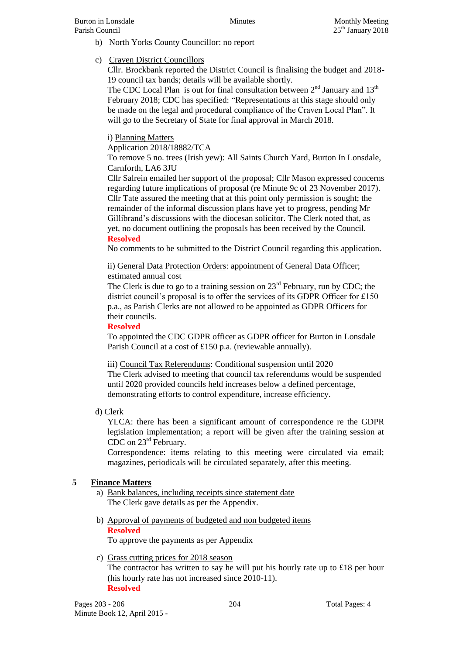- b) North Yorks County Councillor: no report
- c) Craven District Councillors

Cllr. Brockbank reported the District Council is finalising the budget and 2018- 19 council tax bands; details will be available shortly.

The CDC Local Plan is out for final consultation between  $2<sup>nd</sup>$  January and  $13<sup>th</sup>$ February 2018; CDC has specified: "Representations at this stage should only be made on the legal and procedural compliance of the Craven Local Plan". It will go to the Secretary of State for final approval in March 2018.

# i) Planning Matters

Application 2018/18882/TCA

To remove 5 no. trees (Irish yew): All Saints Church Yard, Burton In Lonsdale, Carnforth, LA6 3JU

Cllr Salrein emailed her support of the proposal; Cllr Mason expressed concerns regarding future implications of proposal (re Minute 9c of 23 November 2017). Cllr Tate assured the meeting that at this point only permission is sought; the remainder of the informal discussion plans have yet to progress, pending Mr Gillibrand's discussions with the diocesan solicitor. The Clerk noted that, as yet, no document outlining the proposals has been received by the Council. **Resolved**

No comments to be submitted to the District Council regarding this application.

ii) General Data Protection Orders: appointment of General Data Officer; estimated annual cost

The Clerk is due to go to a training session on  $23<sup>rd</sup>$  February, run by CDC; the district council's proposal is to offer the services of its GDPR Officer for £150 p.a., as Parish Clerks are not allowed to be appointed as GDPR Officers for their councils.

#### **Resolved**

To appointed the CDC GDPR officer as GDPR officer for Burton in Lonsdale Parish Council at a cost of £150 p.a. (reviewable annually).

#### iii) Council Tax Referendums: Conditional suspension until 2020

The Clerk advised to meeting that council tax referendums would be suspended until 2020 provided councils held increases below a defined percentage, demonstrating efforts to control expenditure, increase efficiency.

d) Clerk

YLCA: there has been a significant amount of correspondence re the GDPR legislation implementation; a report will be given after the training session at CDC on 23rd February.

Correspondence: items relating to this meeting were circulated via email; magazines, periodicals will be circulated separately, after this meeting.

#### **5 Finance Matters**

- a) Bank balances, including receipts since statement date The Clerk gave details as per the Appendix.
- b) Approval of payments of budgeted and non budgeted items **Resolved** To approve the payments as per Appendix
- c) Grass cutting prices for 2018 season The contractor has written to say he will put his hourly rate up to £18 per hour (his hourly rate has not increased since 2010-11). **Resolved**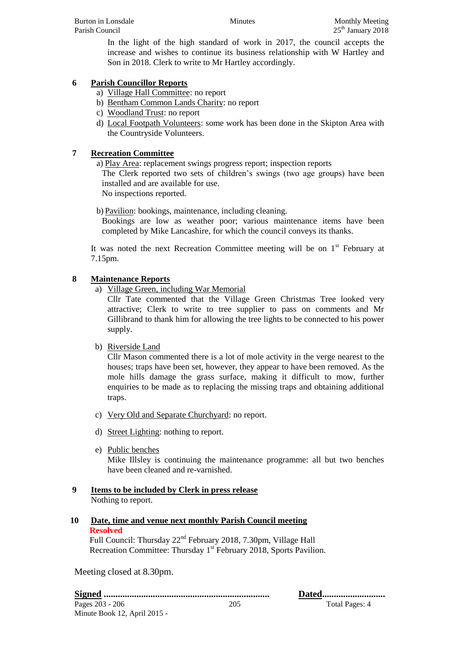In the light of the high standard of work in 2017, the council accepts the increase and wishes to continue its business relationship with W Hartley and Son in 2018. Clerk to write to Mr Hartley accordingly.

# **6 Parish Councillor Reports**

- a) Village Hall Committee: no report
- b) Bentham Common Lands Charity: no report
- c) Woodland Trust: no report
- d) Local Footpath Volunteers: some work has been done in the Skipton Area with the Countryside Volunteers.

#### **7 Recreation Committee**

a) Play Area: replacement swings progress report; inspection reports

The Clerk reported two sets of children's swings (two age groups) have been installed and are available for use.

No inspections reported.

b) Pavilion: bookings, maintenance, including cleaning.

Bookings are low as weather poor; various maintenance items have been completed by Mike Lancashire, for which the council conveys its thanks.

It was noted the next Recreation Committee meeting will be on  $1<sup>st</sup>$  February at 7.15pm.

## **8 Maintenance Reports**

a) Village Green, including War Memorial

Cllr Tate commented that the Village Green Christmas Tree looked very attractive; Clerk to write to tree supplier to pass on comments and Mr Gillibrand to thank him for allowing the tree lights to be connected to his power supply.

b) Riverside Land

Cllr Mason commented there is a lot of mole activity in the verge nearest to the houses; traps have been set, however, they appear to have been removed. As the mole hills damage the grass surface, making it difficult to mow, further enquiries to be made as to replacing the missing traps and obtaining additional traps.

- c) Very Old and Separate Churchyard: no report.
- d) Street Lighting: nothing to report.
- e) Public benches Mike Illsley is continuing the maintenance programme: all but two benches have been cleaned and re-varnished.
- **9 Items to be included by Clerk in press release** Nothing to report.

#### **10 Date, time and venue next monthly Parish Council meeting Resolved**  Full Council: Thursday 22nd February 2018, 7.30pm, Village Hall Recreation Committee: Thursday 1<sup>st</sup> February 2018, Sports Pavilion.

Meeting closed at 8.30pm.

Pages 203 - 206 205 205 205 206 205 206 205 206 205 206 205 206 205 205 206 207 208 209 205 206 207 208 208 20 Minute Book 12, April 2015 - **Signed ....................................................................... Dated...........................**